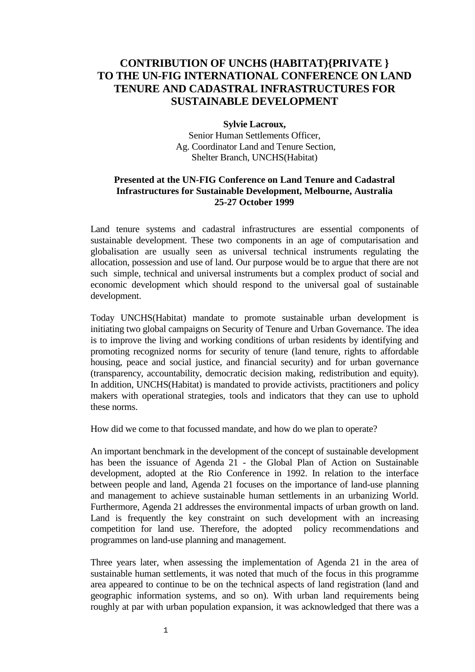## **CONTRIBUTION OF UNCHS (HABITAT){PRIVATE } TO THE UN-FIG INTERNATIONAL CONFERENCE ON LAND TENURE AND CADASTRAL INFRASTRUCTURES FOR SUSTAINABLE DEVELOPMENT**

## **Sylvie Lacroux,**

Senior Human Settlements Officer, Ag. Coordinator Land and Tenure Section, Shelter Branch, UNCHS(Habitat)

## **Presented at the UN-FIG Conference on Land Tenure and Cadastral Infrastructures for Sustainable Development, Melbourne, Australia 25-27 October 1999**

Land tenure systems and cadastral infrastructures are essential components of sustainable development. These two components in an age of computarisation and globalisation are usually seen as universal technical instruments regulating the allocation, possession and use of land. Our purpose would be to argue that there are not such simple, technical and universal instruments but a complex product of social and economic development which should respond to the universal goal of sustainable development.

Today UNCHS(Habitat) mandate to promote sustainable urban development is initiating two global campaigns on Security of Tenure and Urban Governance. The idea is to improve the living and working conditions of urban residents by identifying and promoting recognized norms for security of tenure (land tenure, rights to affordable housing, peace and social justice, and financial security) and for urban governance (transparency, accountability, democratic decision making, redistribution and equity). In addition, UNCHS(Habitat) is mandated to provide activists, practitioners and policy makers with operational strategies, tools and indicators that they can use to uphold these norms.

How did we come to that focussed mandate, and how do we plan to operate?

An important benchmark in the development of the concept of sustainable development has been the issuance of Agenda 21 - the Global Plan of Action on Sustainable development, adopted at the Rio Conference in 1992. In relation to the interface between people and land, Agenda 21 focuses on the importance of land-use planning and management to achieve sustainable human settlements in an urbanizing World. Furthermore, Agenda 21 addresses the environmental impacts of urban growth on land. Land is frequently the key constraint on such development with an increasing competition for land use. Therefore, the adopted policy recommendations and programmes on land-use planning and management.

Three years later, when assessing the implementation of Agenda 21 in the area of sustainable human settlements, it was noted that much of the focus in this programme area appeared to continue to be on the technical aspects of land registration (land and geographic information systems, and so on). With urban land requirements being roughly at par with urban population expansion, it was acknowledged that there was a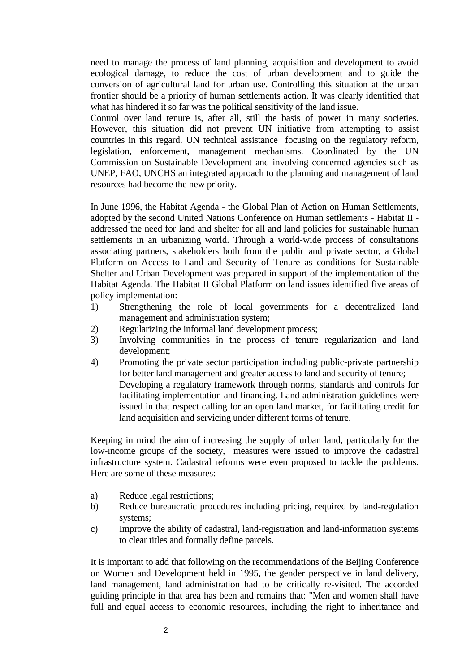need to manage the process of land planning, acquisition and development to avoid ecological damage, to reduce the cost of urban development and to guide the conversion of agricultural land for urban use. Controlling this situation at the urban frontier should be a priority of human settlements action. It was clearly identified that what has hindered it so far was the political sensitivity of the land issue.

Control over land tenure is, after all, still the basis of power in many societies. However, this situation did not prevent UN initiative from attempting to assist countries in this regard. UN technical assistance focusing on the regulatory reform, legislation, enforcement, management mechanisms. Coordinated by the UN Commission on Sustainable Development and involving concerned agencies such as UNEP, FAO, UNCHS an integrated approach to the planning and management of land resources had become the new priority.

In June 1996, the Habitat Agenda - the Global Plan of Action on Human Settlements, adopted by the second United Nations Conference on Human settlements - Habitat II addressed the need for land and shelter for all and land policies for sustainable human settlements in an urbanizing world. Through a world-wide process of consultations associating partners, stakeholders both from the public and private sector, a Global Platform on Access to Land and Security of Tenure as conditions for Sustainable Shelter and Urban Development was prepared in support of the implementation of the Habitat Agenda. The Habitat II Global Platform on land issues identified five areas of policy implementation:

- 1) Strengthening the role of local governments for a decentralized land management and administration system;
- 2) Regularizing the informal land development process;<br>3) Involving communities in the process of tenure
- Involving communities in the process of tenure regularization and land development;
- 4) Promoting the private sector participation including public-private partnership for better land management and greater access to land and security of tenure; Developing a regulatory framework through norms, standards and controls for facilitating implementation and financing. Land administration guidelines were issued in that respect calling for an open land market, for facilitating credit for land acquisition and servicing under different forms of tenure.

Keeping in mind the aim of increasing the supply of urban land, particularly for the low-income groups of the society, measures were issued to improve the cadastral infrastructure system. Cadastral reforms were even proposed to tackle the problems. Here are some of these measures:

- a) Reduce legal restrictions;
- b) Reduce bureaucratic procedures including pricing, required by land-regulation systems;
- c) Improve the ability of cadastral, land-registration and land-information systems to clear titles and formally define parcels.

It is important to add that following on the recommendations of the Beijing Conference on Women and Development held in 1995, the gender perspective in land delivery, land management, land administration had to be critically re-visited. The accorded guiding principle in that area has been and remains that: "Men and women shall have full and equal access to economic resources, including the right to inheritance and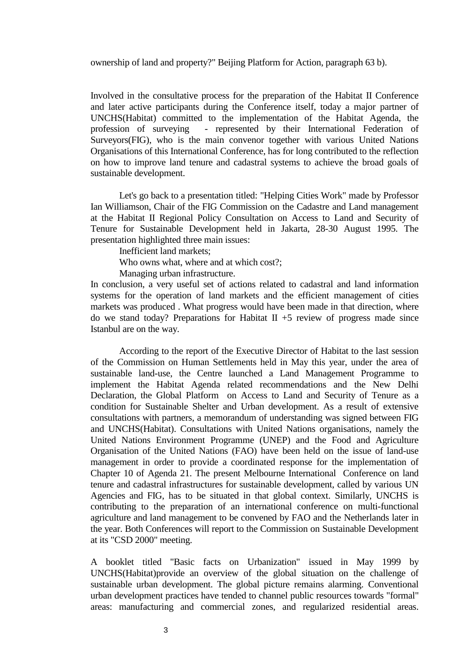ownership of land and property?" Beijing Platform for Action, paragraph 63 b).

Involved in the consultative process for the preparation of the Habitat II Conference and later active participants during the Conference itself, today a major partner of UNCHS(Habitat) committed to the implementation of the Habitat Agenda, the profession of surveying - represented by their International Federation of Surveyors(FIG), who is the main convenor together with various United Nations Organisations of this International Conference, has for long contributed to the reflection on how to improve land tenure and cadastral systems to achieve the broad goals of sustainable development.

Let's go back to a presentation titled: "Helping Cities Work" made by Professor Ian Williamson, Chair of the FIG Commission on the Cadastre and Land management at the Habitat II Regional Policy Consultation on Access to Land and Security of Tenure for Sustainable Development held in Jakarta, 28-30 August 1995. The presentation highlighted three main issues:

Inefficient land markets;

Who owns what, where and at which cost?:

Managing urban infrastructure.

In conclusion, a very useful set of actions related to cadastral and land information systems for the operation of land markets and the efficient management of cities markets was produced . What progress would have been made in that direction, where do we stand today? Preparations for Habitat  $II + 5$  review of progress made since Istanbul are on the way.

According to the report of the Executive Director of Habitat to the last session of the Commission on Human Settlements held in May this year, under the area of sustainable land-use, the Centre launched a Land Management Programme to implement the Habitat Agenda related recommendations and the New Delhi Declaration, the Global Platform on Access to Land and Security of Tenure as a condition for Sustainable Shelter and Urban development. As a result of extensive consultations with partners, a memorandum of understanding was signed between FIG and UNCHS(Habitat). Consultations with United Nations organisations, namely the United Nations Environment Programme (UNEP) and the Food and Agriculture Organisation of the United Nations (FAO) have been held on the issue of land-use management in order to provide a coordinated response for the implementation of Chapter 10 of Agenda 21. The present Melbourne International Conference on land tenure and cadastral infrastructures for sustainable development, called by various UN Agencies and FIG, has to be situated in that global context. Similarly, UNCHS is contributing to the preparation of an international conference on multi-functional agriculture and land management to be convened by FAO and the Netherlands later in the year. Both Conferences will report to the Commission on Sustainable Development at its "CSD 2000" meeting.

A booklet titled "Basic facts on Urbanization" issued in May 1999 by UNCHS(Habitat)provide an overview of the global situation on the challenge of sustainable urban development. The global picture remains alarming. Conventional urban development practices have tended to channel public resources towards "formal" areas: manufacturing and commercial zones, and regularized residential areas.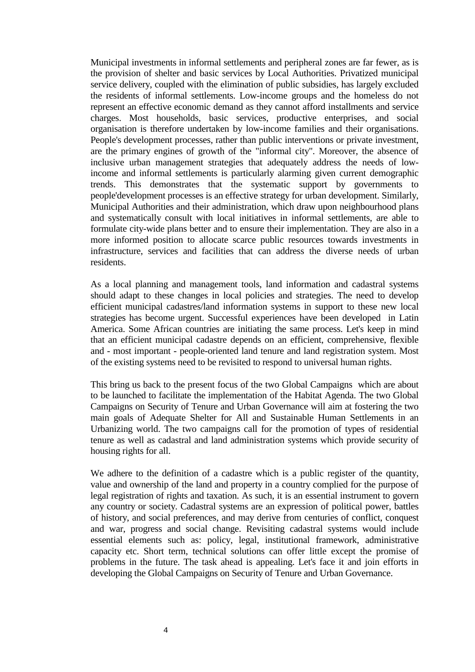Municipal investments in informal settlements and peripheral zones are far fewer, as is the provision of shelter and basic services by Local Authorities. Privatized municipal service delivery, coupled with the elimination of public subsidies, has largely excluded the residents of informal settlements. Low-income groups and the homeless do not represent an effective economic demand as they cannot afford installments and service charges. Most households, basic services, productive enterprises, and social organisation is therefore undertaken by low-income families and their organisations. People's development processes, rather than public interventions or private investment, are the primary engines of growth of the "informal city". Moreover, the absence of inclusive urban management strategies that adequately address the needs of lowincome and informal settlements is particularly alarming given current demographic trends. This demonstrates that the systematic support by governments to people'development processes is an effective strategy for urban development. Similarly, Municipal Authorities and their administration, which draw upon neighbourhood plans and systematically consult with local initiatives in informal settlements, are able to formulate city-wide plans better and to ensure their implementation. They are also in a more informed position to allocate scarce public resources towards investments in infrastructure, services and facilities that can address the diverse needs of urban residents.

As a local planning and management tools, land information and cadastral systems should adapt to these changes in local policies and strategies. The need to develop efficient municipal cadastres/land information systems in support to these new local strategies has become urgent. Successful experiences have been developed in Latin America. Some African countries are initiating the same process. Let's keep in mind that an efficient municipal cadastre depends on an efficient, comprehensive, flexible and - most important - people-oriented land tenure and land registration system. Most of the existing systems need to be revisited to respond to universal human rights.

This bring us back to the present focus of the two Global Campaigns which are about to be launched to facilitate the implementation of the Habitat Agenda. The two Global Campaigns on Security of Tenure and Urban Governance will aim at fostering the two main goals of Adequate Shelter for All and Sustainable Human Settlements in an Urbanizing world. The two campaigns call for the promotion of types of residential tenure as well as cadastral and land administration systems which provide security of housing rights for all.

We adhere to the definition of a cadastre which is a public register of the quantity, value and ownership of the land and property in a country complied for the purpose of legal registration of rights and taxation. As such, it is an essential instrument to govern any country or society. Cadastral systems are an expression of political power, battles of history, and social preferences, and may derive from centuries of conflict, conquest and war, progress and social change. Revisiting cadastral systems would include essential elements such as: policy, legal, institutional framework, administrative capacity etc. Short term, technical solutions can offer little except the promise of problems in the future. The task ahead is appealing. Let's face it and join efforts in developing the Global Campaigns on Security of Tenure and Urban Governance.